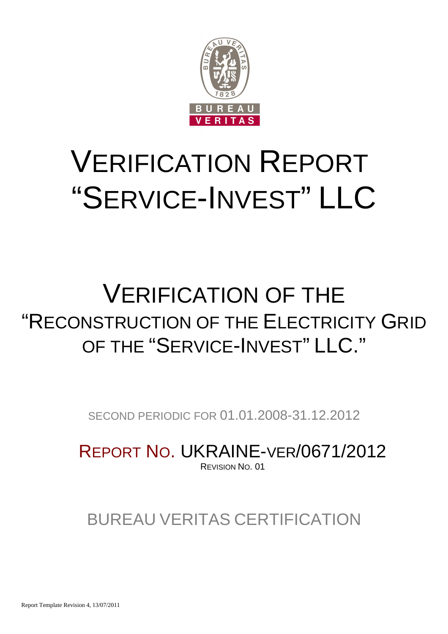

# VERIFICATION REPORT "SERVICE-INVEST" LLC

## VERIFICATION OF THE "RECONSTRUCTION OF THE ELECTRICITY GRID OF THE "SERVICE-INVEST" LLC."

SECOND PERIODIC FOR 01.01.2008-31.12.2012

REPORT NO. UKRAINE-VER/0671/2012 REVISION NO. 01

### BUREAU VERITAS CERTIFICATION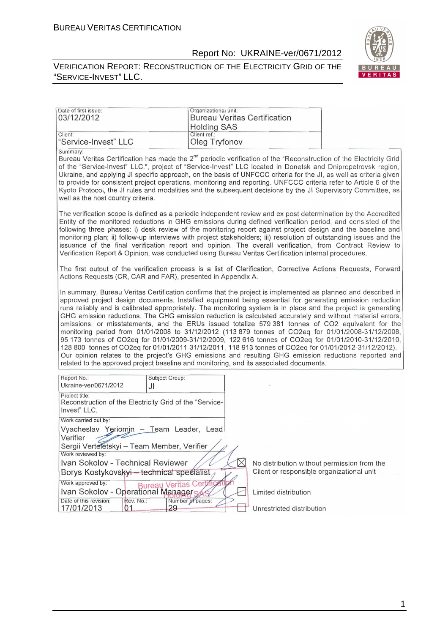Date of first issue:

#### Report No: UKRAINE-ver/0671/2012

VERIFICATION REPORT: RECONSTRUCTION OF THE ELECTRICITY GRID OF THE "SERVICE-INVEST" LLC.

Organizational unit:



| 03/12/2012                                                                                                                                                                                                                                                                                                                                                                                                                                                                                                                                                                                                                                                                                                                                                                                                                                                                                                                                                                                                                                                                                                                                                 | <b>Holding SAS</b>            | <b>Bureau Veritas Certification</b> |                                           |                                             |
|------------------------------------------------------------------------------------------------------------------------------------------------------------------------------------------------------------------------------------------------------------------------------------------------------------------------------------------------------------------------------------------------------------------------------------------------------------------------------------------------------------------------------------------------------------------------------------------------------------------------------------------------------------------------------------------------------------------------------------------------------------------------------------------------------------------------------------------------------------------------------------------------------------------------------------------------------------------------------------------------------------------------------------------------------------------------------------------------------------------------------------------------------------|-------------------------------|-------------------------------------|-------------------------------------------|---------------------------------------------|
| Client:<br>"Service-Invest" LLC                                                                                                                                                                                                                                                                                                                                                                                                                                                                                                                                                                                                                                                                                                                                                                                                                                                                                                                                                                                                                                                                                                                            | Client ref.:<br>Oleg Tryfonov |                                     |                                           |                                             |
| Summary:<br>Bureau Veritas Certification has made the 2 <sup>nd</sup> periodic verification of the "Reconstruction of the Electricity Grid<br>of the "Service-Invest" LLC.", project of "Service-Invest" LLC located in Donetsk and Dnipropetrovsk region,<br>Ukraine, and applying JI specific approach, on the basis of UNFCCC criteria for the JI, as well as criteria given<br>to provide for consistent project operations, monitoring and reporting. UNFCCC criteria refer to Article 6 of the<br>Kyoto Protocol, the JI rules and modalities and the subsequent decisions by the JI Supervisory Committee, as<br>well as the host country criteria.                                                                                                                                                                                                                                                                                                                                                                                                                                                                                                 |                               |                                     |                                           |                                             |
| The verification scope is defined as a periodic independent review and ex post determination by the Accredited<br>Entity of the monitored reductions in GHG emissions during defined verification period, and consisted of the<br>following three phases: i) desk review of the monitoring report against project design and the baseline and<br>monitoring plan; ii) follow-up interviews with project stakeholders; iii) resolution of outstanding issues and the<br>issuance of the final verification report and opinion. The overall verification, from Contract Review to<br>Verification Report & Opinion, was conducted using Bureau Veritas Certification internal procedures.<br>The first output of the verification process is a list of Clarification, Corrective Actions Requests, Forward                                                                                                                                                                                                                                                                                                                                                   |                               |                                     |                                           |                                             |
| Actions Requests (CR, CAR and FAR), presented in Appendix A.<br>In summary, Bureau Veritas Certification confirms that the project is implemented as planned and described in<br>approved project design documents. Installed equipment being essential for generating emission reduction<br>runs reliably and is calibrated appropriately. The monitoring system is in place and the project is generating<br>GHG emission reductions. The GHG emission reduction is calculated accurately and without material errors,<br>omissions, or misstatements, and the ERUs issued totalize 579 381 tonnes of CO2 equivalent for the<br>monitoring period from 01/01/2008 to 31/12/2012 (113 879 tonnes of CO2eq for 01/01/2008-31/12/2008,<br>95 173 tonnes of CO2eq for 01/01/2009-31/12/2009, 122 616 tonnes of CO2eq for 01/01/2010-31/12/2010,<br>128 800 tonnes of CO2eq for 01/01/2011-31/12/2011, 118 913 tonnes of CO2eq for 01/01/2012-31/12/2012).<br>Our opinion relates to the project's GHG emissions and resulting GHG emission reductions reported and<br>related to the approved project baseline and monitoring, and its associated documents. |                               |                                     |                                           |                                             |
| Report No.:<br>Ukraine-ver/0671/2012<br>JI                                                                                                                                                                                                                                                                                                                                                                                                                                                                                                                                                                                                                                                                                                                                                                                                                                                                                                                                                                                                                                                                                                                 | Subject Group:                |                                     |                                           |                                             |
| Project title:<br>Reconstruction of the Electricity Grid of the "Service-<br>Invest" LLC.                                                                                                                                                                                                                                                                                                                                                                                                                                                                                                                                                                                                                                                                                                                                                                                                                                                                                                                                                                                                                                                                  |                               |                                     |                                           |                                             |
| Work carried out by:<br>Vyacheslav Yeriomin - Team Leader, Lead<br>Verifier<br>Sergii Verteletskyi - Team Member, Verifier                                                                                                                                                                                                                                                                                                                                                                                                                                                                                                                                                                                                                                                                                                                                                                                                                                                                                                                                                                                                                                 |                               |                                     |                                           |                                             |
| Work reviewed by:<br>Ivan Sokolov - Technical Reviewer<br>Borys Kostykovskyi - technical specialist<br>Work approved by:                                                                                                                                                                                                                                                                                                                                                                                                                                                                                                                                                                                                                                                                                                                                                                                                                                                                                                                                                                                                                                   | ertific                       | $\times$                            | Client or responsible organizational unit | No distribution without permission from the |
| Work approved by:<br>Ivan Sokolov - Operational Managers<br>Date of this revision:<br>Rev. No.:                                                                                                                                                                                                                                                                                                                                                                                                                                                                                                                                                                                                                                                                                                                                                                                                                                                                                                                                                                                                                                                            | Number of pages:              |                                     | Limited distribution                      |                                             |
| 17/01/2013<br>01                                                                                                                                                                                                                                                                                                                                                                                                                                                                                                                                                                                                                                                                                                                                                                                                                                                                                                                                                                                                                                                                                                                                           | 29                            |                                     | Unrestricted distribution                 |                                             |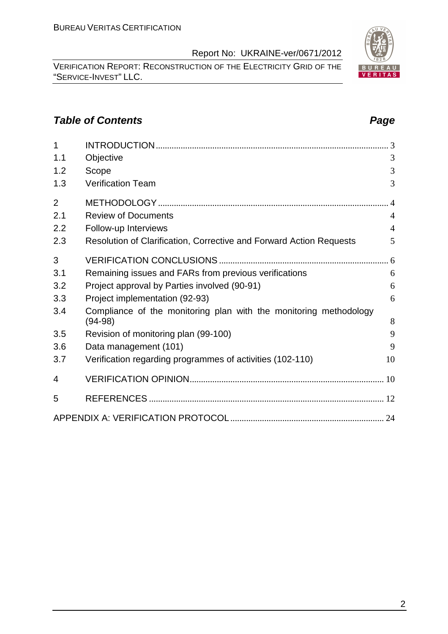VERIFICATION REPORT: RECONSTRUCTION OF THE ELECTRICITY GRID OF THE "SERVICE-INVEST" LLC.

#### **Table of Contents Page 2014**

| $\overline{1}$ |                                                                                |                |
|----------------|--------------------------------------------------------------------------------|----------------|
| 1.1            | Objective                                                                      | 3              |
| 1.2            | Scope                                                                          | 3              |
| 1.3            | <b>Verification Team</b>                                                       | 3              |
| $\overline{2}$ |                                                                                | $\overline{4}$ |
| 2.1            | <b>Review of Documents</b>                                                     | $\overline{4}$ |
| 2.2            | Follow-up Interviews                                                           | $\overline{4}$ |
| 2.3            | Resolution of Clarification, Corrective and Forward Action Requests            | 5              |
| 3              |                                                                                |                |
| 3.1            | Remaining issues and FARs from previous verifications                          | 6              |
| 3.2            | Project approval by Parties involved (90-91)                                   | 6              |
| 3.3            | Project implementation (92-93)                                                 | 6              |
| 3.4            | Compliance of the monitoring plan with the monitoring methodology<br>$(94-98)$ | 8              |
| 3.5            | Revision of monitoring plan (99-100)                                           | 9              |
| 3.6            | Data management (101)                                                          | 9              |
| 3.7            | Verification regarding programmes of activities (102-110)                      | 10             |
| 4              |                                                                                |                |
| 5              |                                                                                |                |
|                |                                                                                |                |

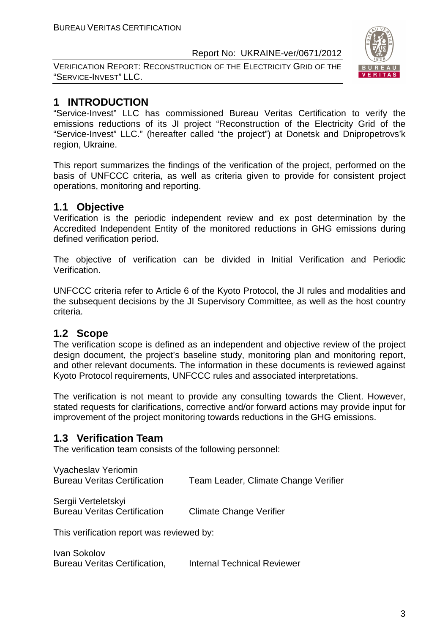VERIFICATION REPORT: RECONSTRUCTION OF THE ELECTRICITY GRID OF THE "SERVICE-INVEST" LLC.



#### **1 INTRODUCTION**

"Service-Invest" LLC has commissioned Bureau Veritas Certification to verify the emissions reductions of its JI project "Reconstruction of the Electricity Grid of the "Service-Invest" LLC." (hereafter called "the project") at Donetsk and Dnipropetrovs'k region, Ukraine.

This report summarizes the findings of the verification of the project, performed on the basis of UNFCCC criteria, as well as criteria given to provide for consistent project operations, monitoring and reporting.

#### **1.1 Objective**

Verification is the periodic independent review and ex post determination by the Accredited Independent Entity of the monitored reductions in GHG emissions during defined verification period.

The objective of verification can be divided in Initial Verification and Periodic Verification.

UNFCCC criteria refer to Article 6 of the Kyoto Protocol, the JI rules and modalities and the subsequent decisions by the JI Supervisory Committee, as well as the host country criteria.

#### **1.2 Scope**

The verification scope is defined as an independent and objective review of the project design document, the project's baseline study, monitoring plan and monitoring report, and other relevant documents. The information in these documents is reviewed against Kyoto Protocol requirements, UNFCCC rules and associated interpretations.

The verification is not meant to provide any consulting towards the Client. However, stated requests for clarifications, corrective and/or forward actions may provide input for improvement of the project monitoring towards reductions in the GHG emissions.

#### **1.3 Verification Team**

The verification team consists of the following personnel:

| Vyacheslav Yeriomin                 |                                      |
|-------------------------------------|--------------------------------------|
| <b>Bureau Veritas Certification</b> | Team Leader, Climate Change Verifier |

Sergii Verteletskyi Bureau Veritas Certification Climate Change Verifier

This verification report was reviewed by:

Ivan Sokolov Bureau Veritas Certification, Internal Technical Reviewer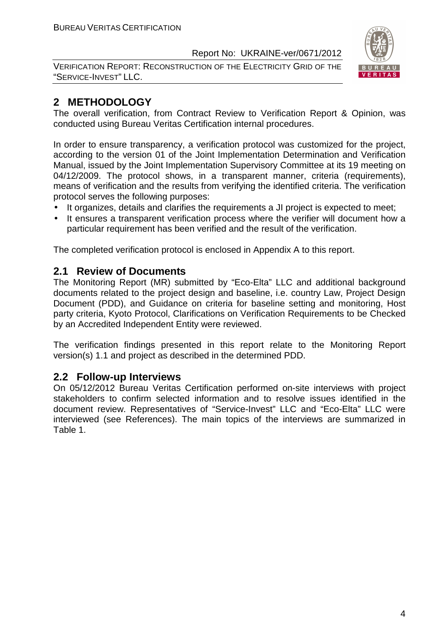VERIFICATION REPORT: RECONSTRUCTION OF THE ELECTRICITY GRID OF THE "SERVICE-INVEST" LLC.



#### **2 METHODOLOGY**

The overall verification, from Contract Review to Verification Report & Opinion, was conducted using Bureau Veritas Certification internal procedures.

In order to ensure transparency, a verification protocol was customized for the project, according to the version 01 of the Joint Implementation Determination and Verification Manual, issued by the Joint Implementation Supervisory Committee at its 19 meeting on 04/12/2009. The protocol shows, in a transparent manner, criteria (requirements), means of verification and the results from verifying the identified criteria. The verification protocol serves the following purposes:

- It organizes, details and clarifies the requirements a JI project is expected to meet;
- It ensures a transparent verification process where the verifier will document how a particular requirement has been verified and the result of the verification.

The completed verification protocol is enclosed in Appendix A to this report.

#### **2.1 Review of Documents**

The Monitoring Report (MR) submitted by "Eco-Elta" LLC and additional background documents related to the project design and baseline, i.e. country Law, Project Design Document (PDD), and Guidance on criteria for baseline setting and monitoring, Host party criteria, Kyoto Protocol, Clarifications on Verification Requirements to be Checked by an Accredited Independent Entity were reviewed.

The verification findings presented in this report relate to the Monitoring Report version(s) 1.1 and project as described in the determined PDD.

#### **2.2 Follow-up Interviews**

On 05/12/2012 Bureau Veritas Certification performed on-site interviews with project stakeholders to confirm selected information and to resolve issues identified in the document review. Representatives of "Service-Invest" LLC and "Eco-Elta" LLC were interviewed (see References). The main topics of the interviews are summarized in Table 1.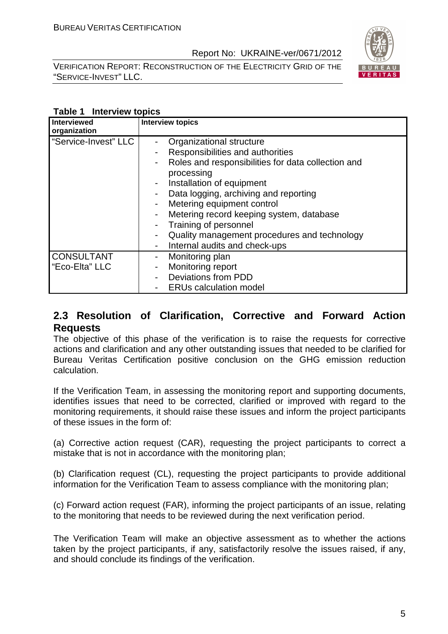VERIFICATION REPORT: RECONSTRUCTION OF THE ELECTRICITY GRID OF THE "SERVICE-INVEST" LLC.



#### **Table 1 Interview topics**

| Interviewed<br>organization         | <b>Interview topics</b>                                                                                                                                                                                                                                                                                   |
|-------------------------------------|-----------------------------------------------------------------------------------------------------------------------------------------------------------------------------------------------------------------------------------------------------------------------------------------------------------|
| "Service-Invest" LLC                | Organizational structure<br>Responsibilities and authorities<br>Roles and responsibilities for data collection and<br>processing<br>Installation of equipment<br>Data logging, archiving and reporting<br>Metering equipment control<br>Metering record keeping system, database<br>Training of personnel |
|                                     | Quality management procedures and technology<br>Internal audits and check-ups                                                                                                                                                                                                                             |
| <b>CONSULTANT</b><br>"Eco-Elta" LLC | Monitoring plan<br>Monitoring report<br><b>Deviations from PDD</b><br><b>ERUs calculation model</b>                                                                                                                                                                                                       |

#### **2.3 Resolution of Clarification, Corrective and Forward Action Requests**

The objective of this phase of the verification is to raise the requests for corrective actions and clarification and any other outstanding issues that needed to be clarified for Bureau Veritas Certification positive conclusion on the GHG emission reduction calculation.

If the Verification Team, in assessing the monitoring report and supporting documents, identifies issues that need to be corrected, clarified or improved with regard to the monitoring requirements, it should raise these issues and inform the project participants of these issues in the form of:

(a) Corrective action request (CAR), requesting the project participants to correct a mistake that is not in accordance with the monitoring plan;

(b) Clarification request (CL), requesting the project participants to provide additional information for the Verification Team to assess compliance with the monitoring plan;

(c) Forward action request (FAR), informing the project participants of an issue, relating to the monitoring that needs to be reviewed during the next verification period.

The Verification Team will make an objective assessment as to whether the actions taken by the project participants, if any, satisfactorily resolve the issues raised, if any, and should conclude its findings of the verification.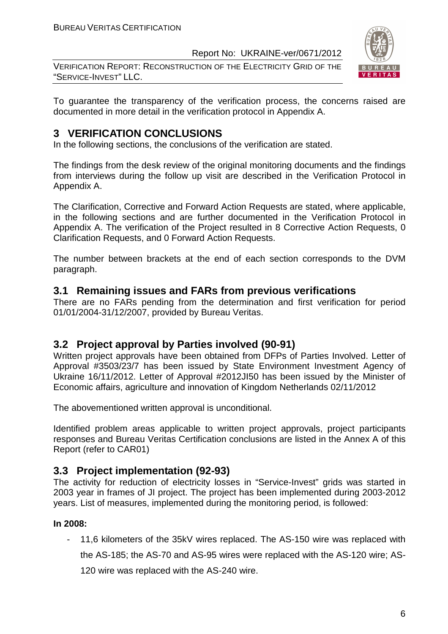VERIFICATION REPORT: RECONSTRUCTION OF THE ELECTRICITY GRID OF THE "SERVICE-INVEST" LLC.



To guarantee the transparency of the verification process, the concerns raised are documented in more detail in the verification protocol in Appendix A.

#### **3 VERIFICATION CONCLUSIONS**

In the following sections, the conclusions of the verification are stated.

The findings from the desk review of the original monitoring documents and the findings from interviews during the follow up visit are described in the Verification Protocol in Appendix A.

The Clarification, Corrective and Forward Action Requests are stated, where applicable, in the following sections and are further documented in the Verification Protocol in Appendix A. The verification of the Project resulted in 8 Corrective Action Requests, 0 Clarification Requests, and 0 Forward Action Requests.

The number between brackets at the end of each section corresponds to the DVM paragraph.

#### **3.1 Remaining issues and FARs from previous verifications**

There are no FARs pending from the determination and first verification for period 01/01/2004-31/12/2007, provided by Bureau Veritas.

#### **3.2 Project approval by Parties involved (90-91)**

Written project approvals have been obtained from DFPs of Parties Involved. Letter of Approval #3503/23/7 has been issued by State Environment Investment Agency of Ukraine 16/11/2012. Letter of Approval #2012JI50 has been issued by the Minister of Economic affairs, agriculture and innovation of Kingdom Netherlands 02/11/2012

The abovementioned written approval is unconditional.

Identified problem areas applicable to written project approvals, project participants responses and Bureau Veritas Certification conclusions are listed in the Annex A of this Report (refer to CAR01)

#### **3.3 Project implementation (92-93)**

The activity for reduction of electricity losses in "Service-Invest" grids was started in 2003 year in frames of JI project. The project has been implemented during 2003-2012 years. List of measures, implemented during the monitoring period, is followed:

#### **In 2008:**

- 11,6 kilometers of the 35kV wires replaced. The AS-150 wire was replaced with the AS-185; the AS-70 and AS-95 wires were replaced with the AS-120 wire; AS-120 wire was replaced with the AS-240 wire.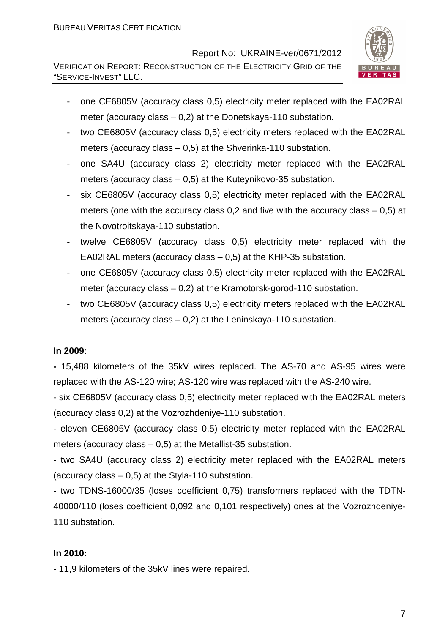VERIFICATION REPORT: RECONSTRUCTION OF THE ELECTRICITY GRID OF THE "SERVICE-INVEST" LLC.



- one CE6805V (accuracy class 0,5) electricity meter replaced with the EA02RAL meter (accuracy class – 0,2) at the Donetskaya-110 substation.
- two CE6805V (accuracy class 0,5) electricity meters replaced with the EA02RAL meters (accuracy class – 0,5) at the Shverinka-110 substation.
- one SA4U (accuracy class 2) electricity meter replaced with the EA02RAL meters (accuracy class – 0,5) at the Kuteynikovo-35 substation.
- six CE6805V (accuracy class 0,5) electricity meter replaced with the EA02RAL meters (one with the accuracy class 0,2 and five with the accuracy class – 0,5) at the Novotroitskaya-110 substation.
- twelve CE6805V (accuracy class 0,5) electricity meter replaced with the EA02RAL meters (accuracy class  $-0.5$ ) at the KHP-35 substation.
- one CE6805V (accuracy class 0,5) electricity meter replaced with the EA02RAL meter (accuracy class – 0,2) at the Kramotorsk-gorod-110 substation.
- two CE6805V (accuracy class 0,5) electricity meters replaced with the EA02RAL meters (accuracy class – 0,2) at the Leninskaya-110 substation.

#### **In 2009:**

**-** 15,488 kilometers of the 35kV wires replaced. The AS-70 and AS-95 wires were replaced with the AS-120 wire; AS-120 wire was replaced with the AS-240 wire.

- six CE6805V (accuracy class 0,5) electricity meter replaced with the EA02RAL meters (accuracy class 0,2) at the Vozrozhdeniye-110 substation.

- eleven CE6805V (accuracy class 0,5) electricity meter replaced with the EA02RAL meters (accuracy class  $-$  0,5) at the Metallist-35 substation.

- two SA4U (accuracy class 2) electricity meter replaced with the EA02RAL meters (accuracy class  $-0.5$ ) at the Styla-110 substation.

- two TDNS-16000/35 (loses coefficient 0,75) transformers replaced with the TDTN-40000/110 (loses coefficient 0,092 and 0,101 respectively) ones at the Vozrozhdeniye-110 substation.

#### **In 2010:**

- 11,9 kilometers of the 35kV lines were repaired.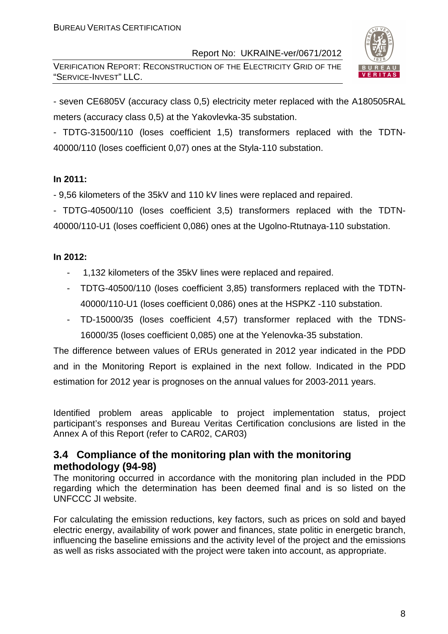VERIFICATION REPORT: RECONSTRUCTION OF THE ELECTRICITY GRID OF THE "SERVICE-INVEST" LLC.



- seven CE6805V (accuracy class 0,5) electricity meter replaced with the A180505RAL meters (accuracy class 0,5) at the Yakovlevka-35 substation.

- TDTG-31500/110 (loses coefficient 1,5) transformers replaced with the TDTN-40000/110 (loses coefficient 0,07) ones at the Styla-110 substation.

#### **In 2011:**

- 9,56 kilometers of the 35kV and 110 kV lines were replaced and repaired.

- TDTG-40500/110 (loses coefficient 3,5) transformers replaced with the TDTN-40000/110-U1 (loses coefficient 0,086) ones at the Ugolno-Rtutnaya-110 substation.

#### **In 2012:**

- 1,132 kilometers of the 35kV lines were replaced and repaired.
- TDTG-40500/110 (loses coefficient 3,85) transformers replaced with the TDTN-40000/110-U1 (loses coefficient 0,086) ones at the HSPKZ -110 substation.
- TD-15000/35 (loses coefficient 4,57) transformer replaced with the TDNS-16000/35 (loses coefficient 0,085) one at the Yelenovka-35 substation.

The difference between values of ERUs generated in 2012 year indicated in the PDD and in the Monitoring Report is explained in the next follow. Indicated in the PDD estimation for 2012 year is prognoses on the annual values for 2003-2011 years.

Identified problem areas applicable to project implementation status, project participant's responses and Bureau Veritas Certification conclusions are listed in the Annex A of this Report (refer to CAR02, CAR03)

#### **3.4 Compliance of the monitoring plan with the monitoring methodology (94-98)**

The monitoring occurred in accordance with the monitoring plan included in the PDD regarding which the determination has been deemed final and is so listed on the UNFCCC JI website.

For calculating the emission reductions, key factors, such as prices on sold and bayed electric energy, availability of work power and finances, state politic in energetic branch, influencing the baseline emissions and the activity level of the project and the emissions as well as risks associated with the project were taken into account, as appropriate.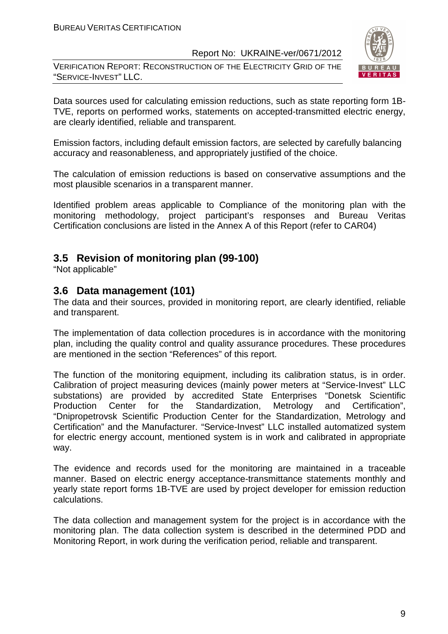VERIFICATION REPORT: RECONSTRUCTION OF THE ELECTRICITY GRID OF THE "SERVICE-INVEST" LLC.



Data sources used for calculating emission reductions, such as state reporting form 1B-TVE, reports on performed works, statements on accepted-transmitted electric energy, are clearly identified, reliable and transparent.

Emission factors, including default emission factors, are selected by carefully balancing accuracy and reasonableness, and appropriately justified of the choice.

The calculation of emission reductions is based on conservative assumptions and the most plausible scenarios in a transparent manner.

Identified problem areas applicable to Compliance of the monitoring plan with the monitoring methodology, project participant's responses and Bureau Veritas Certification conclusions are listed in the Annex A of this Report (refer to CAR04)

#### **3.5 Revision of monitoring plan (99-100)**

"Not applicable"

#### **3.6 Data management (101)**

The data and their sources, provided in monitoring report, are clearly identified, reliable and transparent.

The implementation of data collection procedures is in accordance with the monitoring plan, including the quality control and quality assurance procedures. These procedures are mentioned in the section "References" of this report.

The function of the monitoring equipment, including its calibration status, is in order. Calibration of project measuring devices (mainly power meters at "Service-Invest" LLC substations) are provided by accredited State Enterprises "Donetsk Scientific Production Center for the Standardization, Metrology and Certification", "Dnipropetrovsk Scientific Production Center for the Standardization, Metrology and Certification" and the Manufacturer. "Service-Invest" LLC installed automatized system for electric energy account, mentioned system is in work and calibrated in appropriate way.

The evidence and records used for the monitoring are maintained in a traceable manner. Based on electric energy acceptance-transmittance statements monthly and yearly state report forms 1B-TVE are used by project developer for emission reduction calculations.

The data collection and management system for the project is in accordance with the monitoring plan. The data collection system is described in the determined PDD and Monitoring Report, in work during the verification period, reliable and transparent.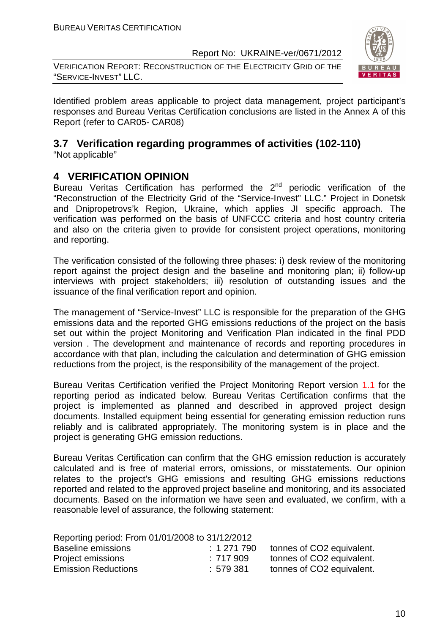VERIFICATION REPORT: RECONSTRUCTION OF THE ELECTRICITY GRID OF THE "SERVICE-INVEST" LLC.



Identified problem areas applicable to project data management, project participant's responses and Bureau Veritas Certification conclusions are listed in the Annex A of this Report (refer to CAR05- CAR08)

#### **3.7 Verification regarding programmes of activities (102-110)**  "Not applicable"

### **4 VERIFICATION OPINION**

Bureau Veritas Certification has performed the  $2<sup>nd</sup>$  periodic verification of the "Reconstruction of the Electricity Grid of the "Service-Invest" LLC." Project in Donetsk and Dnipropetrovs'k Region, Ukraine, which applies JI specific approach. The verification was performed on the basis of UNFCCC criteria and host country criteria and also on the criteria given to provide for consistent project operations, monitoring and reporting.

The verification consisted of the following three phases: i) desk review of the monitoring report against the project design and the baseline and monitoring plan; ii) follow-up interviews with project stakeholders; iii) resolution of outstanding issues and the issuance of the final verification report and opinion.

The management of "Service-Invest" LLC is responsible for the preparation of the GHG emissions data and the reported GHG emissions reductions of the project on the basis set out within the project Monitoring and Verification Plan indicated in the final PDD version . The development and maintenance of records and reporting procedures in accordance with that plan, including the calculation and determination of GHG emission reductions from the project, is the responsibility of the management of the project.

Bureau Veritas Certification verified the Project Monitoring Report version 1.1 for the reporting period as indicated below. Bureau Veritas Certification confirms that the project is implemented as planned and described in approved project design documents. Installed equipment being essential for generating emission reduction runs reliably and is calibrated appropriately. The monitoring system is in place and the project is generating GHG emission reductions.

Bureau Veritas Certification can confirm that the GHG emission reduction is accurately calculated and is free of material errors, omissions, or misstatements. Our opinion relates to the project's GHG emissions and resulting GHG emissions reductions reported and related to the approved project baseline and monitoring, and its associated documents. Based on the information we have seen and evaluated, we confirm, with a reasonable level of assurance, the following statement:

| Reporting period: From 01/01/2008 to 31/12/2012 |           |                           |  |  |  |
|-------------------------------------------------|-----------|---------------------------|--|--|--|
| Baseline emissions                              | : 1271790 | tonnes of CO2 equivalent. |  |  |  |
| Project emissions                               | :717 909  | tonnes of CO2 equivalent. |  |  |  |
| <b>Emission Reductions</b>                      | :579.381  | tonnes of CO2 equivalent. |  |  |  |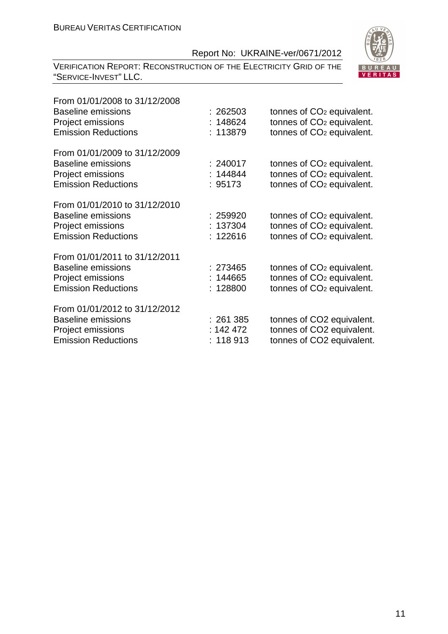VERIFICATION REPORT: RECONSTRUCTION OF THE ELECTRICITY GRID OF THE "SERVICE-INVEST" LLC.



| From 01/01/2008 to 31/12/2008<br><b>Baseline emissions</b><br>Project emissions<br><b>Emission Reductions</b> | : 262503<br>: 148624<br>: 113879    | tonnes of CO <sub>2</sub> equivalent.<br>tonnes of CO <sub>2</sub> equivalent.<br>tonnes of CO <sub>2</sub> equivalent. |
|---------------------------------------------------------------------------------------------------------------|-------------------------------------|-------------------------------------------------------------------------------------------------------------------------|
| From 01/01/2009 to 31/12/2009<br><b>Baseline emissions</b><br>Project emissions<br><b>Emission Reductions</b> | : 240017<br>: 144844<br>: 95173     | tonnes of CO <sub>2</sub> equivalent.<br>tonnes of CO <sub>2</sub> equivalent.<br>tonnes of CO <sub>2</sub> equivalent. |
| From 01/01/2010 to 31/12/2010<br><b>Baseline emissions</b><br>Project emissions<br><b>Emission Reductions</b> | : 259920<br>: 137304<br>: 122616    | tonnes of CO <sub>2</sub> equivalent.<br>tonnes of CO <sub>2</sub> equivalent.<br>tonnes of CO <sub>2</sub> equivalent. |
| From 01/01/2011 to 31/12/2011<br><b>Baseline emissions</b><br>Project emissions<br><b>Emission Reductions</b> | : 273465<br>: 144665<br>: 128800    | tonnes of CO <sub>2</sub> equivalent.<br>tonnes of CO <sub>2</sub> equivalent.<br>tonnes of CO <sub>2</sub> equivalent. |
| From 01/01/2012 to 31/12/2012<br>Baseline emissions<br>Project emissions<br><b>Emission Reductions</b>        | : 261 385<br>: 142 472<br>: 118 913 | tonnes of CO2 equivalent.<br>tonnes of CO2 equivalent.<br>tonnes of CO2 equivalent.                                     |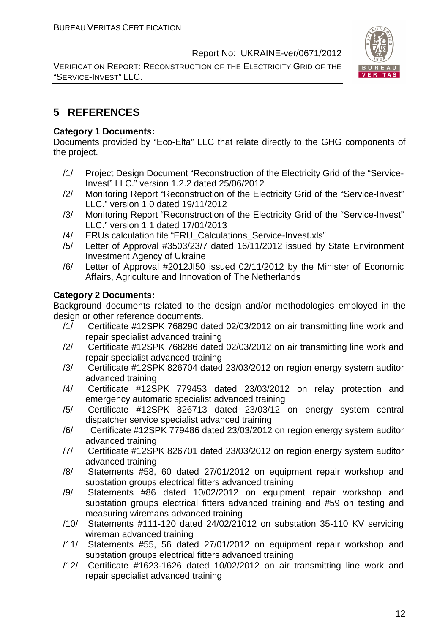VERIFICATION REPORT: RECONSTRUCTION OF THE ELECTRICITY GRID OF THE "SERVICE-INVEST" LLC.



#### **5 REFERENCES**

#### **Category 1 Documents:**

Documents provided by "Eco-Elta" LLC that relate directly to the GHG components of the project.

- /1/ Project Design Document "Reconstruction of the Electricity Grid of the "Service-Invest" LLC." version 1.2.2 dated 25/06/2012
- /2/ Monitoring Report "Reconstruction of the Electricity Grid of the "Service-Invest" LLC." version 1.0 dated 19/11/2012
- /3/ Monitoring Report "Reconstruction of the Electricity Grid of the "Service-Invest" LLC." version 1.1 dated 17/01/2013
- /4/ ERUs calculation file "ERU\_Calculations\_Service-Invest.xls"
- /5/ Letter of Approval #3503/23/7 dated 16/11/2012 issued by State Environment Investment Agency of Ukraine
- /6/ Letter of Approval #2012JI50 issued 02/11/2012 by the Minister of Economic Affairs, Agriculture and Innovation of The Netherlands

#### **Category 2 Documents:**

Background documents related to the design and/or methodologies employed in the design or other reference documents.

- /1/ Certificate #12SPK 768290 dated 02/03/2012 on air transmitting line work and repair specialist advanced training
- /2/ Certificate #12SPK 768286 dated 02/03/2012 on air transmitting line work and repair specialist advanced training
- /3/ Certificate #12SPK 826704 dated 23/03/2012 on region energy system auditor advanced training
- /4/ Certificate #12SPK 779453 dated 23/03/2012 on relay protection and emergency automatic specialist advanced training
- /5/ Certificate #12SPK 826713 dated 23/03/12 on energy system central dispatcher service specialist advanced training
- /6/ Certificate #12SPK 779486 dated 23/03/2012 on region energy system auditor advanced training
- /7/ Certificate #12SPK 826701 dated 23/03/2012 on region energy system auditor advanced training
- /8/ Statements #58, 60 dated 27/01/2012 on equipment repair workshop and substation groups electrical fitters advanced training
- /9/ Statements #86 dated 10/02/2012 on equipment repair workshop and substation groups electrical fitters advanced training and #59 on testing and measuring wiremans advanced training
- /10/ Statements #111-120 dated 24/02/21012 on substation 35-110 KV servicing wireman advanced training
- /11/ Statements #55, 56 dated 27/01/2012 on equipment repair workshop and substation groups electrical fitters advanced training
- /12/ Certificate #1623-1626 dated 10/02/2012 on air transmitting line work and repair specialist advanced training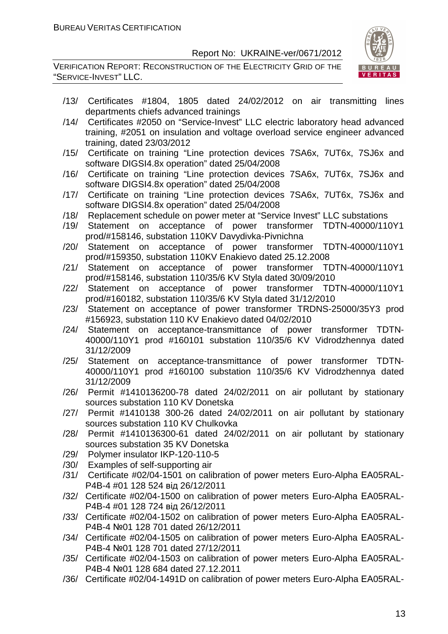VERIFICATION REPORT: RECONSTRUCTION OF THE ELECTRICITY GRID OF THE "SERVICE-INVEST" LLC.



- /13/ Certificates #1804, 1805 dated 24/02/2012 on air transmitting lines departments chiefs advanced trainings
- /14/ Certificates #2050 on "Service-Invest" LLC electric laboratory head advanced training, #2051 on insulation and voltage overload service engineer advanced training, dated 23/03/2012
- /15/ Certificate on training "Line protection devices 7SA6x, 7UT6x, 7SJ6x and software DIGSI4.8x operation" dated 25/04/2008
- /16/ Certificate on training "Line protection devices 7SA6x, 7UT6x, 7SJ6x and software DIGSI4.8x operation" dated 25/04/2008
- /17/ Certificate on training "Line protection devices 7SA6x, 7UT6x, 7SJ6x and software DIGSI4.8x operation" dated 25/04/2008
- /18/ Replacement schedule on power meter at "Service Invest" LLC substations
- /19/ Statement on acceptance of power transformer TDTN-40000/110Y1 prod/#158146, substation 110KV Davydivka-Pivnichna
- /20/ Statement on acceptance of power transformer TDTN-40000/110Y1 prod/#159350, substation 110KV Enakievo dated 25.12.2008
- /21/ Statement on acceptance of power transformer TDTN-40000/110Y1 prod/#158146, substation 110/35/6 KV Styla dated 30/09/2010
- /22/ Statement on acceptance of power transformer TDTN-40000/110Y1 prod/#160182, substation 110/35/6 KV Styla dated 31/12/2010
- /23/ Statement on acceptance of power transformer TRDNS-25000/35Y3 prod #156923, substation 110 KV Enakievo dated 04/02/2010
- /24/ Statement on acceptance-transmittance of power transformer TDTN-40000/110Y1 prod #160101 substation 110/35/6 KV Vidrodzhennya dated 31/12/2009
- /25/ Statement on acceptance-transmittance of power transformer TDTN-40000/110Y1 prod #160100 substation 110/35/6 KV Vidrodzhennya dated 31/12/2009
- /26/ Permit #1410136200-78 dated 24/02/2011 on air pollutant by stationary sources substation 110 KV Donetska
- /27/ Permit #1410138 300-26 dated 24/02/2011 on air pollutant by stationary sources substation 110 KV Chulkovka
- /28/ Permit #1410136300-61 dated 24/02/2011 on air pollutant by stationary sources substation 35 KV Donetska
- /29/ Polymer insulator IKP-120-110-5
- /30/ Examples of self-supporting air
- /31/ Certificate #02/04-1501 on calibration of power meters Euro-Alpha ЕА05RAL-P4B-4 #01 128 524 від 26/12/2011
- /32/ Certificate #02/04-1500 on calibration of power meters Euro-Alpha ЕА05RAL-P4B-4 #01 128 724 від 26/12/2011
- /33/ Certificate #02/04-1502 on calibration of power meters Euro-Alpha ЕА05RAL-P4B-4 №01 128 701 dated 26/12/2011
- /34/ Certificate #02/04-1505 on calibration of power meters Euro-Alpha ЕА05RAL-P4B-4 №01 128 701 dated 27/12/2011
- /35/ Certificate #02/04-1503 on calibration of power meters Euro-Alpha ЕА05RAL-P4B-4 №01 128 684 dated 27.12.2011
- /36/ Certificate #02/04-1491D on calibration of power meters Euro-Alpha ЕА05RAL-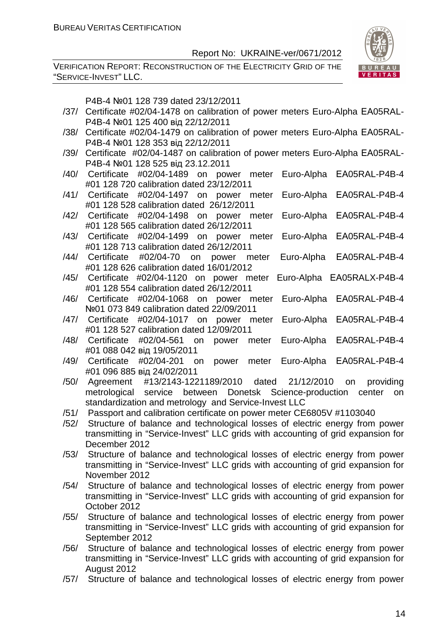VERIFICATION REPORT: RECONSTRUCTION OF THE ELECTRICITY GRID OF THE "SERVICE-INVEST" LLC.



P4B-4 №01 128 739 dated 23/12/2011

- /37/ Certificate #02/04-1478 on calibration of power meters Euro-Alpha ЕА05RAL-P4B-4 №01 125 400 від 22/12/2011
- /38/ Certificate #02/04-1479 on calibration of power meters Euro-Alpha ЕА05RAL-P4B-4 №01 128 353 від 22/12/2011
- /39/ Certificate #02/04-1487 on calibration of power meters Euro-Alpha ЕА05RAL-P4B-4 №01 128 525 від 23.12.2011
- /40/ Certificate #02/04-1489 on power meter Euro-Alpha ЕА05RAL-P4B-4 #01 128 720 calibration dated 23/12/2011
- /41/ Certificate #02/04-1497 on power meter Euro-Alpha ЕА05RAL-P4B-4 #01 128 528 calibration dated 26/12/2011
- /42/ Certificate #02/04-1498 on power meter Euro-Alpha ЕА05RAL-P4B-4 #01 128 565 calibration dated 26/12/2011
- /43/ Certificate #02/04-1499 on power meter Euro-Alpha ЕА05RAL-P4B-4 #01 128 713 calibration dated 26/12/2011
- /44/ Certificate #02/04-70 on power meter Euro-Alpha ЕА05RAL-P4B-4 #01 128 626 calibration dated 16/01/2012
- /45/ Certificate #02/04-1120 on power meter Euro-Alpha ЕА05RALX-P4B-4 #01 128 554 calibration dated 26/12/2011
- /46/ Certificate #02/04-1068 on power meter Euro-Alpha ЕА05RAL-P4B-4 №01 073 849 calibration dated 22/09/2011
- /47/ Certificate #02/04-1017 on power meter Euro-Alpha ЕА05RAL-P4B-4 #01 128 527 calibration dated 12/09/2011
- /48/ Certificate #02/04-561 on power meter Euro-Alpha ЕА05RAL-P4B-4 #01 088 042 від 19/05/2011
- /49/ Certificate #02/04-201 on power meter Euro-Alpha ЕА05RAL-P4B-4 #01 096 885 від 24/02/2011
- /50/ Agreement #13/2143-1221189/2010 dated 21/12/2010 on providing metrological service between Donetsk Science-production center on standardization and metrology and Service-Invest LLC
- /51/ Passport and calibration certificate on power meter CE6805V #1103040
- /52/ Structure of balance and technological losses of electric energy from power transmitting in "Service-Invest" LLC grids with accounting of grid expansion for December 2012
- /53/ Structure of balance and technological losses of electric energy from power transmitting in "Service-Invest" LLC grids with accounting of grid expansion for November 2012
- /54/ Structure of balance and technological losses of electric energy from power transmitting in "Service-Invest" LLC grids with accounting of grid expansion for October 2012
- /55/ Structure of balance and technological losses of electric energy from power transmitting in "Service-Invest" LLC grids with accounting of grid expansion for September 2012
- /56/ Structure of balance and technological losses of electric energy from power transmitting in "Service-Invest" LLC grids with accounting of grid expansion for August 2012
- /57/ Structure of balance and technological losses of electric energy from power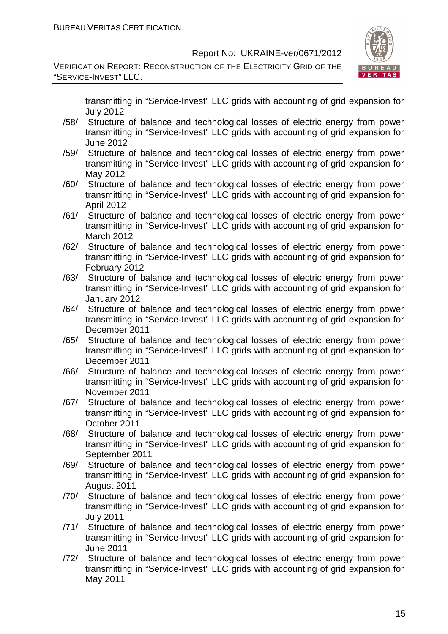VERIFICATION REPORT: RECONSTRUCTION OF THE ELECTRICITY GRID OF THE "SERVICE-INVEST" LLC.



transmitting in "Service-Invest" LLC grids with accounting of grid expansion for July 2012

- /58/ Structure of balance and technological losses of electric energy from power transmitting in "Service-Invest" LLC grids with accounting of grid expansion for June 2012
- /59/ Structure of balance and technological losses of electric energy from power transmitting in "Service-Invest" LLC grids with accounting of grid expansion for May 2012
- /60/ Structure of balance and technological losses of electric energy from power transmitting in "Service-Invest" LLC grids with accounting of grid expansion for April 2012
- /61/ Structure of balance and technological losses of electric energy from power transmitting in "Service-Invest" LLC grids with accounting of grid expansion for March 2012
- /62/ Structure of balance and technological losses of electric energy from power transmitting in "Service-Invest" LLC grids with accounting of grid expansion for February 2012
- /63/ Structure of balance and technological losses of electric energy from power transmitting in "Service-Invest" LLC grids with accounting of grid expansion for January 2012
- /64/ Structure of balance and technological losses of electric energy from power transmitting in "Service-Invest" LLC grids with accounting of grid expansion for December 2011
- /65/ Structure of balance and technological losses of electric energy from power transmitting in "Service-Invest" LLC grids with accounting of grid expansion for December 2011
- /66/ Structure of balance and technological losses of electric energy from power transmitting in "Service-Invest" LLC grids with accounting of grid expansion for November 2011
- /67/ Structure of balance and technological losses of electric energy from power transmitting in "Service-Invest" LLC grids with accounting of grid expansion for October 2011
- /68/ Structure of balance and technological losses of electric energy from power transmitting in "Service-Invest" LLC grids with accounting of grid expansion for September 2011
- /69/ Structure of balance and technological losses of electric energy from power transmitting in "Service-Invest" LLC grids with accounting of grid expansion for August 2011
- /70/ Structure of balance and technological losses of electric energy from power transmitting in "Service-Invest" LLC grids with accounting of grid expansion for July 2011
- /71/ Structure of balance and technological losses of electric energy from power transmitting in "Service-Invest" LLC grids with accounting of grid expansion for June 2011
- /72/ Structure of balance and technological losses of electric energy from power transmitting in "Service-Invest" LLC grids with accounting of grid expansion for May 2011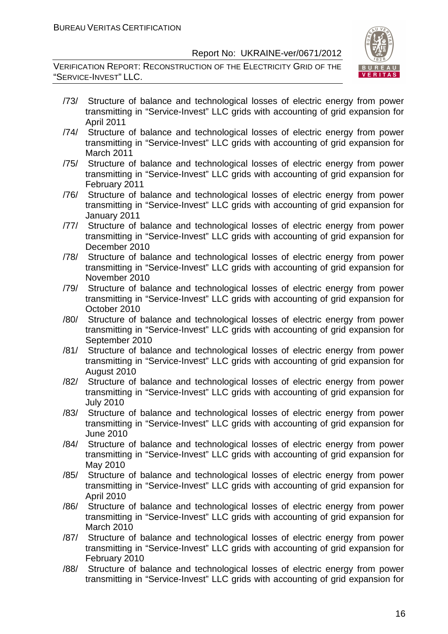VERIFICATION REPORT: RECONSTRUCTION OF THE ELECTRICITY GRID OF THE "SERVICE-INVEST" LLC.



- /73/ Structure of balance and technological losses of electric energy from power transmitting in "Service-Invest" LLC grids with accounting of grid expansion for April 2011
- /74/ Structure of balance and technological losses of electric energy from power transmitting in "Service-Invest" LLC grids with accounting of grid expansion for March 2011
- /75/ Structure of balance and technological losses of electric energy from power transmitting in "Service-Invest" LLC grids with accounting of grid expansion for February 2011
- /76/ Structure of balance and technological losses of electric energy from power transmitting in "Service-Invest" LLC grids with accounting of grid expansion for January 2011
- /77/ Structure of balance and technological losses of electric energy from power transmitting in "Service-Invest" LLC grids with accounting of grid expansion for December 2010
- /78/ Structure of balance and technological losses of electric energy from power transmitting in "Service-Invest" LLC grids with accounting of grid expansion for November 2010
- /79/ Structure of balance and technological losses of electric energy from power transmitting in "Service-Invest" LLC grids with accounting of grid expansion for October 2010
- /80/ Structure of balance and technological losses of electric energy from power transmitting in "Service-Invest" LLC grids with accounting of grid expansion for September 2010
- /81/ Structure of balance and technological losses of electric energy from power transmitting in "Service-Invest" LLC grids with accounting of grid expansion for August 2010
- /82/ Structure of balance and technological losses of electric energy from power transmitting in "Service-Invest" LLC grids with accounting of grid expansion for July 2010
- /83/ Structure of balance and technological losses of electric energy from power transmitting in "Service-Invest" LLC grids with accounting of grid expansion for June 2010
- /84/ Structure of balance and technological losses of electric energy from power transmitting in "Service-Invest" LLC grids with accounting of grid expansion for May 2010
- /85/ Structure of balance and technological losses of electric energy from power transmitting in "Service-Invest" LLC grids with accounting of grid expansion for April 2010
- /86/ Structure of balance and technological losses of electric energy from power transmitting in "Service-Invest" LLC grids with accounting of grid expansion for March 2010
- /87/ Structure of balance and technological losses of electric energy from power transmitting in "Service-Invest" LLC grids with accounting of grid expansion for February 2010
- /88/ Structure of balance and technological losses of electric energy from power transmitting in "Service-Invest" LLC grids with accounting of grid expansion for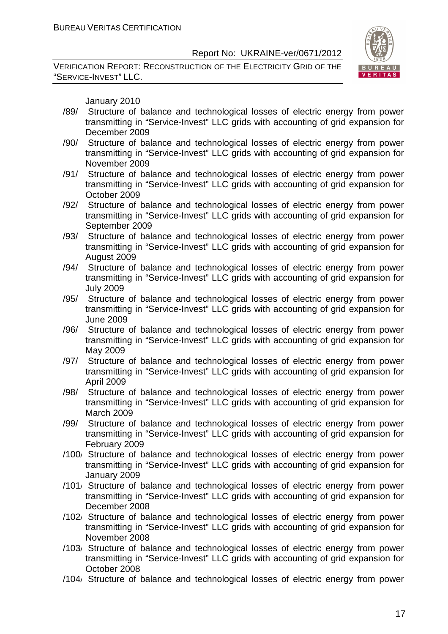VERIFICATION REPORT: RECONSTRUCTION OF THE ELECTRICITY GRID OF THE "SERVICE-INVEST" LLC.



January 2010

- /89/ Structure of balance and technological losses of electric energy from power transmitting in "Service-Invest" LLC grids with accounting of grid expansion for December 2009
- /90/ Structure of balance and technological losses of electric energy from power transmitting in "Service-Invest" LLC grids with accounting of grid expansion for November 2009
- /91/ Structure of balance and technological losses of electric energy from power transmitting in "Service-Invest" LLC grids with accounting of grid expansion for October 2009
- /92/ Structure of balance and technological losses of electric energy from power transmitting in "Service-Invest" LLC grids with accounting of grid expansion for September 2009
- /93/ Structure of balance and technological losses of electric energy from power transmitting in "Service-Invest" LLC grids with accounting of grid expansion for August 2009
- /94/ Structure of balance and technological losses of electric energy from power transmitting in "Service-Invest" LLC grids with accounting of grid expansion for July 2009
- /95/ Structure of balance and technological losses of electric energy from power transmitting in "Service-Invest" LLC grids with accounting of grid expansion for June 2009
- /96/ Structure of balance and technological losses of electric energy from power transmitting in "Service-Invest" LLC grids with accounting of grid expansion for May 2009
- /97/ Structure of balance and technological losses of electric energy from power transmitting in "Service-Invest" LLC grids with accounting of grid expansion for April 2009
- /98/ Structure of balance and technological losses of electric energy from power transmitting in "Service-Invest" LLC grids with accounting of grid expansion for March 2009
- /99/ Structure of balance and technological losses of electric energy from power transmitting in "Service-Invest" LLC grids with accounting of grid expansion for February 2009
- /100/ Structure of balance and technological losses of electric energy from power transmitting in "Service-Invest" LLC grids with accounting of grid expansion for January 2009
- /101/ Structure of balance and technological losses of electric energy from power transmitting in "Service-Invest" LLC grids with accounting of grid expansion for December 2008
- /102/ Structure of balance and technological losses of electric energy from power transmitting in "Service-Invest" LLC grids with accounting of grid expansion for November 2008
- /103/ Structure of balance and technological losses of electric energy from power transmitting in "Service-Invest" LLC grids with accounting of grid expansion for October 2008
- /104/ Structure of balance and technological losses of electric energy from power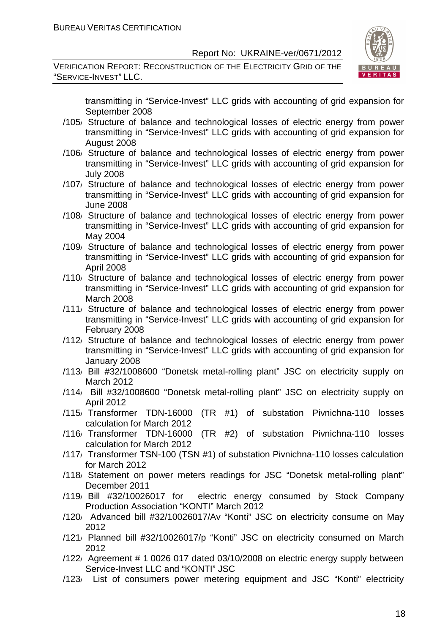VERIFICATION REPORT: RECONSTRUCTION OF THE ELECTRICITY GRID OF THE "SERVICE-INVEST" LLC.



transmitting in "Service-Invest" LLC grids with accounting of grid expansion for September 2008

- /105/ Structure of balance and technological losses of electric energy from power transmitting in "Service-Invest" LLC grids with accounting of grid expansion for August 2008
- /106/ Structure of balance and technological losses of electric energy from power transmitting in "Service-Invest" LLC grids with accounting of grid expansion for July 2008
- /107/ Structure of balance and technological losses of electric energy from power transmitting in "Service-Invest" LLC grids with accounting of grid expansion for June 2008
- /108/ Structure of balance and technological losses of electric energy from power transmitting in "Service-Invest" LLC grids with accounting of grid expansion for May 2004
- /109/ Structure of balance and technological losses of electric energy from power transmitting in "Service-Invest" LLC grids with accounting of grid expansion for April 2008
- /110/ Structure of balance and technological losses of electric energy from power transmitting in "Service-Invest" LLC grids with accounting of grid expansion for March 2008
- /111/ Structure of balance and technological losses of electric energy from power transmitting in "Service-Invest" LLC grids with accounting of grid expansion for February 2008
- /112/ Structure of balance and technological losses of electric energy from power transmitting in "Service-Invest" LLC grids with accounting of grid expansion for January 2008
- /113/ Bill #32/1008600 "Donetsk metal-rolling plant" JSC on electricity supply on March 2012
- /114/ Bill #32/1008600 "Donetsk metal-rolling plant" JSC on electricity supply on April 2012
- /115/ Transformer TDN-16000 (TR #1) of substation Pivnichna-110 losses calculation for March 2012
- /116/ Transformer TDN-16000 (TR #2) of substation Pivnichna-110 losses calculation for March 2012
- /117/ Transformer TSN-100 (TSN #1) of substation Pivnichna-110 losses calculation for March 2012
- /118/ Statement on power meters readings for JSC "Donetsk metal-rolling plant" December 2011
- /119/ Bill #32/10026017 for electric energy consumed by Stock Company Production Association "KONTI" March 2012
- /120/ Advanced bill #32/10026017/Av "Konti" JSC on electricity consume on May 2012
- /121/ Planned bill #32/10026017/p "Konti" JSC on electricity consumed on March 2012
- /122/ Agreement # 1 0026 017 dated 03/10/2008 on electric energy supply between Service-Invest LLC and "KONTI" JSC
- /123/ List of consumers power metering equipment and JSC "Konti" electricity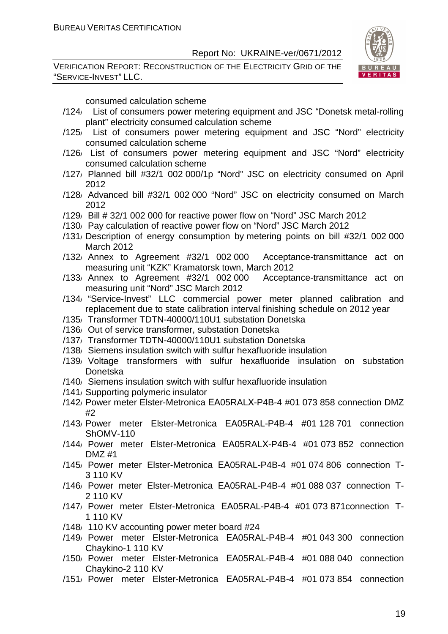VERIFICATION REPORT: RECONSTRUCTION OF THE ELECTRICITY GRID OF THE "SERVICE-INVEST" LLC.



consumed calculation scheme

- /124/ List of consumers power metering equipment and JSC "Donetsk metal-rolling plant" electricity consumed calculation scheme
- /125/ List of consumers power metering equipment and JSC "Nord" electricity consumed calculation scheme
- /126/ List of consumers power metering equipment and JSC "Nord" electricity consumed calculation scheme
- /127/ Planned bill #32/1 002 000/1p "Nord" JSC on electricity consumed on April 2012
- /128/ Advanced bill #32/1 002 000 "Nord" JSC on electricity consumed on March 2012
- /129/ Bill # 32/1 002 000 for reactive power flow on "Nord" JSC March 2012
- /130/ Pay calculation of reactive power flow on "Nord" JSC March 2012
- /131/ Description of energy consumption by metering points on bill #32/1 002 000 March 2012
- /132/ Annex to Agreement #32/1 002 000 Acceptance-transmittance act on measuring unit "KZK" Kramatorsk town, March 2012
- /133/ Annex to Agreement #32/1 002 000 Acceptance-transmittance act on measuring unit "Nord" JSC March 2012
- /134/ "Service-Invest" LLC commercial power meter planned calibration and replacement due to state calibration interval finishing schedule on 2012 year
- /135/ Transformer TDTN-40000/110U1 substation Donetska
- /136/ Out of service transformer, substation Donetska
- /137/ Transformer TDTN-40000/110U1 substation Donetska
- /138/ Siemens insulation switch with sulfur hexafluoride insulation
- /139/ Voltage transformers with sulfur hexafluoride insulation on substation Donetska
- /140/ Siemens insulation switch with sulfur hexafluoride insulation
- /141/ Supporting polymeric insulator
- /142/ Power meter Elster-Metronica ЕА05RALХ-P4B-4 #01 073 858 connection DMZ #2
- /143/ Power meter Elster-Metronica ЕА05RAL-P4B-4 #01 128 701 connection ShOMV-110
- /144/ Power meter Elster-Metronica ЕА05RALХ-P4B-4 #01 073 852 connection  $DMZ$ #1
- /145/ Power meter Elster-Metronica ЕА05RAL-P4B-4 #01 074 806 connection T-3 110 KV
- /146/ Power meter Elster-Metronica ЕА05RAL-P4B-4 #01 088 037 connection T-2 110 KV
- /147/ Power meter Elster-Metronica ЕА05RAL-P4B-4 #01 073 871connection T-1 110 KV
- /148/ 110 KV accounting power meter board #24
- /149/ Power meter Elster-Metronica ЕА05RAL-P4B-4 #01 043 300 connection Chaykino-1 110 KV
- /150/ Power meter Elster-Metronica ЕА05RAL-P4B-4 #01 088 040 connection Chaykino-2 110 KV
- /151/ Power meter Elster-Metronica ЕА05RAL-P4B-4 #01 073 854 connection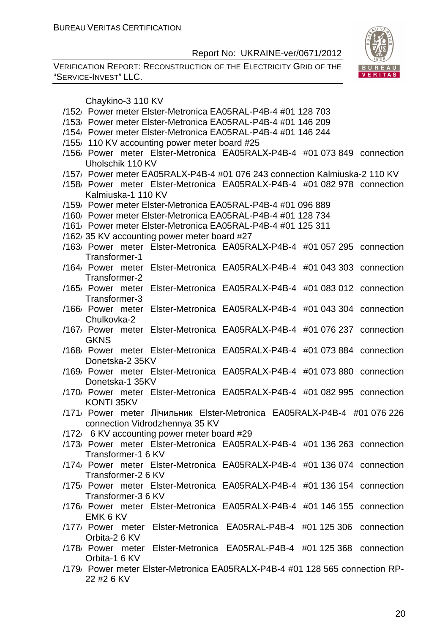VERIFICATION REPORT: RECONSTRUCTION OF THE ELECTRICITY GRID OF THE "SERVICE-INVEST" LLC.



Chaykino-3 110 KV

- /152/ Power meter Elster-Metronica ЕА05RAL-P4B-4 #01 128 703
- /153/ Power meter Elster-Metronica ЕА05RAL-P4B-4 #01 146 209
- /154/ Power meter Elster-Metronica ЕА05RAL-P4B-4 #01 146 244
- /155/ 110 KV accounting power meter board #25
- /156/ Power meter Elster-Metronica ЕА05RALХ-P4B-4 #01 073 849 connection Uholschik 110 KV
- /157/ Power meter ЕА05RALХ-P4B-4 #01 076 243 connection Kalmiuska-2 110 KV
- /158/ Power meter Elster-Metronica ЕА05RALХ-P4B-4 #01 082 978 connection Kalmiuska-1 110 KV
- /159/ Power meter Elster-Metronica ЕА05RAL-P4B-4 #01 096 889
- /160/ Power meter Elster-Metronica ЕА05RAL-P4B-4 #01 128 734
- /161/ Power meter Elster-Metronica ЕА05RAL-P4B-4 #01 125 311
- /162/ 35 KV accounting power meter board #27
- /163/ Power meter Elster-Metronica ЕА05RALХ-P4B-4 #01 057 295 connection Transformer-1
- /164/ Power meter Elster-Metronica ЕА05RALХ-P4B-4 #01 043 303 connection Transformer-2
- /165/ Power meter Elster-Metronica ЕА05RALХ-P4B-4 #01 083 012 connection Transformer-3
- /166/ Power meter Elster-Metronica ЕА05RALХ-P4B-4 #01 043 304 connection Chulkovka-2
- /167/ Power meter Elster-Metronica ЕА05RALХ-P4B-4 #01 076 237 connection GKNS
- /168/ Power meter Elster-Metronica ЕА05RALХ-P4B-4 #01 073 884 connection Donetska-2 35KV
- /169/ Power meter Elster-Metronica ЕА05RALХ-P4B-4 #01 073 880 connection Donetska-1 35KV
- /170/ Power meter Elster-Metronica ЕА05RALХ-P4B-4 #01 082 995 connection KONTI 35KV
- /171/ Power meter Лічильник Elster-Metronica ЕА05RALХ-P4B-4 #01 076 226 connection Vidrodzhennya 35 KV
- /172/ 6 KV accounting power meter board #29
- /173/ Power meter Elster-Metronica ЕА05RALХ-P4B-4 #01 136 263 connection Transformer-1 6 KV
- /174/ Power meter Elster-Metronica ЕА05RALХ-P4B-4 #01 136 074 connection Transformer-2 6 KV
- /175/ Power meter Elster-Metronica ЕА05RALХ-P4B-4 #01 136 154 connection Transformer-3 6 KV
- /176/ Power meter Elster-Metronica ЕА05RALХ-P4B-4 #01 146 155 connection EMK 6 KV
- /177/ Power meter Elster-Metronica ЕА05RAL-P4B-4 #01 125 306 connection Orbita-2 6 KV
- /178/ Power meter Elster-Metronica ЕА05RAL-P4B-4 #01 125 368 connection Orbita-1 6 KV
- /179/ Power meter Elster-Metronica ЕА05RALХ-P4B-4 #01 128 565 connection RP-22 #2 6 KV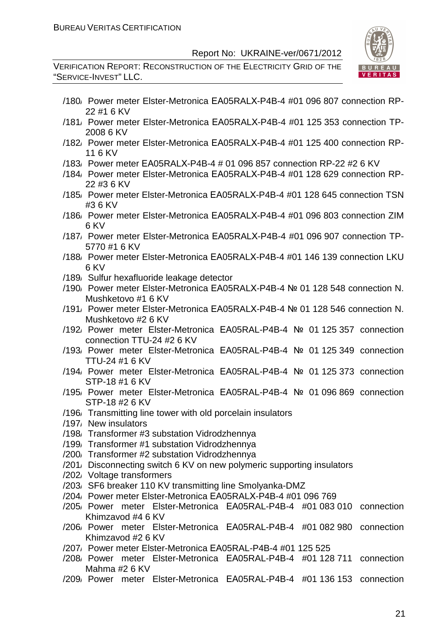VERIFICATION REPORT: RECONSTRUCTION OF THE ELECTRICITY GRID OF THE "SERVICE-INVEST" LLC.



- /180/ Power meter Elster-Metronica ЕА05RALХ-P4B-4 #01 096 807 connection RP-22 #1 6 KV
- /181/ Power meter Elster-Metronica ЕА05RALХ-P4B-4 #01 125 353 connection TP-2008 6 KV
- /182/ Power meter Elster-Metronica ЕА05RALХ-P4B-4 #01 125 400 connection RP-11 6 KV
- /183/ Power meter ЕА05RALХ-P4B-4 # 01 096 857 connection RP-22 #2 6 KV
- /184/ Power meter Elster-Metronica ЕА05RALХ-P4B-4 #01 128 629 connection RP-22 #3 6 KV
- /185/ Power meter Elster-Metronica ЕА05RALХ-P4B-4 #01 128 645 connection TSN #3 6 KV
- /186/ Power meter Elster-Metronica ЕА05RALХ-P4B-4 #01 096 803 connection ZIM 6 KV
- /187/ Power meter Elster-Metronica ЕА05RALХ-P4B-4 #01 096 907 connection TP-5770 #1 6 KV
- /188/ Power meter Elster-Metronica ЕА05RALХ-P4B-4 #01 146 139 connection LKU 6 KV
- /189/ Sulfur hexafluoride leakage detector
- /190/ Power meter Elster-Metronica ЕА05RALХ-P4B-4 № 01 128 548 connection N. Mushketovo #1 6 KV
- /191/ Power meter Elster-Metronica ЕА05RALХ-P4B-4 № 01 128 546 connection N. Mushketovo #2 6 KV
- /192/ Power meter Elster-Metronica ЕА05RAL-P4B-4 № 01 125 357 connection connection TTU-24 #2 6 KV
- /193/ Power meter Elster-Metronica ЕА05RAL-P4B-4 № 01 125 349 connection TTU-24 #1 6 KV
- /194/ Power meter Elster-Metronica ЕА05RAL-P4B-4 № 01 125 373 connection STP-18 #1 6 KV
- /195/ Power meter Elster-Metronica ЕА05RAL-P4B-4 № 01 096 869 connection STP-18 #2 6 KV
- /196/ Transmitting line tower with old porcelain insulators
- /197/ New insulators
- /198/ Transformer #3 substation Vidrodzhennya
- /199/ Transformer #1 substation Vidrodzhennya
- /200/ Transformer #2 substation Vidrodzhennya
- /201/ Disconnecting switch 6 KV on new polymeric supporting insulators
- /202/ Voltage transformers
- /203/ SF6 breaker 110 KV transmitting line Smolyanka-DMZ
- /204/ Power meter Elster-Metronica ЕА05RALХ-P4B-4 #01 096 769
- /205/ Power meter Elster-Metronica ЕА05RAL-P4B-4 #01 083 010 connection Khimzavod #4 6 KV
- /206/ Power meter Elster-Metronica ЕА05RAL-P4B-4 #01 082 980 connection Khimzavod #2 6 KV
- /207/ Power meter Elster-Metronica ЕА05RAL-P4B-4 #01 125 525
- /208/ Power meter Elster-Metronica ЕА05RAL-P4B-4 #01 128 711 connection Mahma #2 6 KV
- /209/ Power meter Elster-Metronica ЕА05RAL-P4B-4 #01 136 153 connection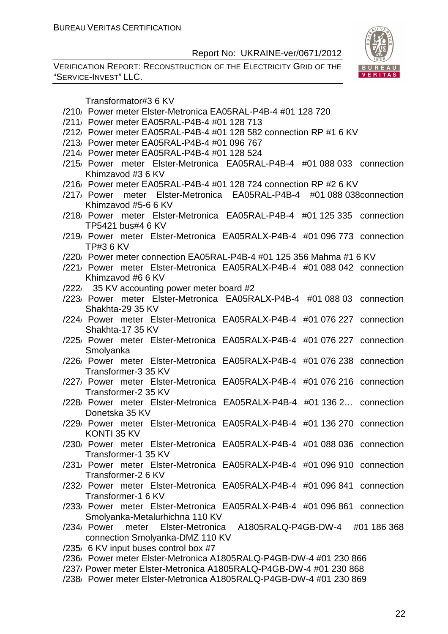VERIFICATION REPORT: RECONSTRUCTION OF THE ELECTRICITY GRID OF THE "SERVICE-INVEST" LLC.



Transformator#3 6 KV

- /210/ Power meter Elster-Metronica ЕА05RAL-P4B-4 #01 128 720
- /211/ Power meter ЕА05RAL-P4B-4 #01 128 713
- /212/ Power meter ЕА05RAL-P4B-4 #01 128 582 connection RP #1 6 KV
- /213/ Power meter ЕА05RAL-P4B-4 #01 096 767
- /214/ Power meter ЕА05RAL-P4B-4 #01 128 524
- /215/ Power meter Elster-Metronica ЕА05RAL-P4B-4 #01 088 033 connection Khimzavod #3 6 KV
- /216/ Power meter ЕА05RAL-P4B-4 #01 128 724 connection RP #2 6 KV
- /217/ Power meter Elster-Metronica ЕА05RAL-P4B-4 #01 088 038connection Khimzavod #5-6 6 KV
- /218/ Power meter Elster-Metronica ЕА05RAL-P4B-4 #01 125 335 connection TP5421 bus#4 6 KV
- /219/ Power meter Elster-Metronica ЕА05RALХ-P4B-4 #01 096 773 connection TP#3 6 KV
- /220/ Power meter connection ЕА05RAL-P4B-4 #01 125 356 Mahma #1 6 KV
- /221/ Power meter Elster-Metronica ЕА05RALХ-P4B-4 #01 088 042 connection Khimzavod #6 6 KV
- /222/ 35 KV accounting power meter board #2
- /223/ Power meter Elster-Metronica ЕА05RALХ-P4B-4 #01 088 03 connection Shakhta-29 35 KV
- /224/ Power meter Elster-Metronica ЕА05RALХ-P4B-4 #01 076 227 connection Shakhta-17 35 KV
- /225/ Power meter Elster-Metronica ЕА05RALХ-P4B-4 #01 076 227 connection Smolyanka
- /226/ Power meter Elster-Metronica ЕА05RALХ-P4B-4 #01 076 238 connection Transformer-3 35 KV
- /227/ Power meter Elster-Metronica ЕА05RALХ-P4B-4 #01 076 216 connection Transformer-2 35 KV
- /228/ Power meter Elster-Metronica ЕА05RALХ-P4B-4 #01 136 2… connection Donetska 35 KV
- /229/ Power meter Elster-Metronica ЕА05RALХ-P4B-4 #01 136 270 connection KONTI 35 KV
- /230/ Power meter Elster-Metronica ЕА05RALХ-P4B-4 #01 088 036 connection Transformer-1 35 KV
- /231/ Power meter Elster-Metronica ЕА05RALХ-P4B-4 #01 096 910 connection Transformer-2 6 KV
- /232/ Power meter Elster-Metronica ЕА05RALХ-P4B-4 #01 096 841 connection Transformer-1 6 KV
- /233/ Power meter Elster-Metronica ЕА05RALХ-P4B-4 #01 096 861 connection Smolyanka-Metalurhichna 110 KV
- /234/ Power meter Elster-Metronica А1805RALQ-P4GB-DW-4 #01 186 368 connection Smolyanka-DMZ 110 KV
- /235/ 6 KV input buses control box #7
- /236/ Power meter Elster-Metronica А1805RALQ-P4GB-DW-4 #01 230 866
- /237/ Power meter Elster-Metronica А1805RALQ-P4GB-DW-4 #01 230 868
- /238/ Power meter Elster-Metronica А1805RALQ-P4GB-DW-4 #01 230 869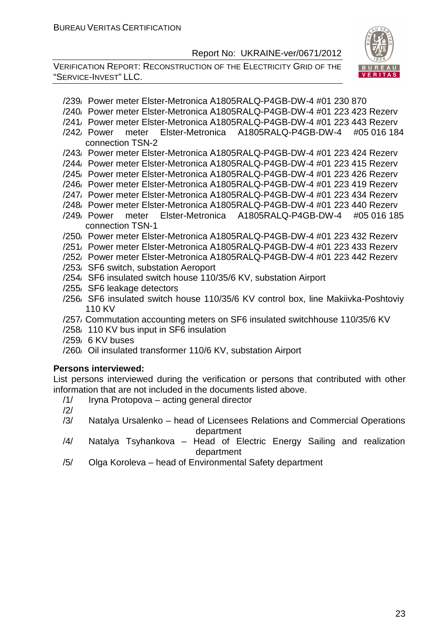VERIFICATION REPORT: RECONSTRUCTION OF THE ELECTRICITY GRID OF THE "SERVICE-INVEST" LLC.



- /239/ Power meter Elster-Metronica А1805RALQ-P4GB-DW-4 #01 230 870
- /240/ Power meter Elster-Metronica А1805RALQ-P4GB-DW-4 #01 223 423 Rezerv
- /241/ Power meter Elster-Metronica А1805RALQ-P4GB-DW-4 #01 223 443 Rezerv
- /242/ Power meter Elster-Metronica А1805RALQ-P4GB-DW-4 #05 016 184 connection TSN-2
- /243/ Power meter Elster-Metronica А1805RALQ-P4GB-DW-4 #01 223 424 Rezerv
- /244/ Power meter Elster-Metronica А1805RALQ-P4GB-DW-4 #01 223 415 Rezerv
- /245/ Power meter Elster-Metronica А1805RALQ-P4GB-DW-4 #01 223 426 Rezerv
- /246/ Power meter Elster-Metronica А1805RALQ-P4GB-DW-4 #01 223 419 Rezerv
- /247/ Power meter Elster-Metronica А1805RALQ-P4GB-DW-4 #01 223 434 Rezerv
- /248/ Power meter Elster-Metronica А1805RALQ-P4GB-DW-4 #01 223 440 Rezerv
- /249/ Power meter Elster-Metronica А1805RALQ-P4GB-DW-4 #05 016 185 connection TSN-1
- /250/ Power meter Elster-Metronica А1805RALQ-P4GB-DW-4 #01 223 432 Rezerv
- /251/ Power meter Elster-Metronica А1805RALQ-P4GB-DW-4 #01 223 433 Rezerv
- /252/ Power meter Elster-Metronica А1805RALQ-P4GB-DW-4 #01 223 442 Rezerv
- /253/ SF6 switch, substation Aeroport
- /254/ SF6 insulated switch house 110/35/6 KV, substation Airport
- /255/ SF6 leakage detectors
- /256/ SF6 insulated switch house 110/35/6 KV control box, line Makiivka-Poshtoviy 110 KV
- /257/ Commutation accounting meters on SF6 insulated switchhouse 110/35/6 KV
- /258/ 110 KV bus input in SF6 insulation
- /259/ 6 KV buses
- /260/ Oil insulated transformer 110/6 KV, substation Airport

#### **Persons interviewed:**

List persons interviewed during the verification or persons that contributed with other information that are not included in the documents listed above.

- /1/ Iryna Protopova acting general director
- /2/
- /3/ Natalya Ursalenko head of Licensees Relations and Commercial Operations department
- /4/ Natalya Tsyhankova Head of Electric Energy Sailing and realization department
- /5/ Olga Koroleva head of Environmental Safety department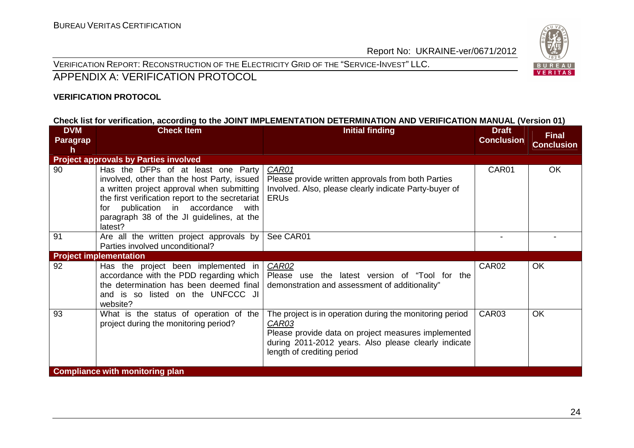

VERIFICATION REPORT: RECONSTRUCTION OF THE ELECTRICITY GRID OF THE "SERVICE-INVEST" LLC.

#### APPENDIX A: VERIFICATION PROTOCOL

#### **VERIFICATION PROTOCOL**

#### **Check list for verification, according to the JOINT IMPLEMENTATION DETERMINATION AND VERIFICATION MANUAL (Version 01)**

| <b>DVM</b><br><b>Paragrap</b><br>h | <b>Check Item</b>                                                                                                                                                                                                                                                                       | <b>Initial finding</b>                                                                                                                                                                                         | <b>Draft</b><br><b>Conclusion</b> | <b>Final</b><br><b>Conclusion</b> |
|------------------------------------|-----------------------------------------------------------------------------------------------------------------------------------------------------------------------------------------------------------------------------------------------------------------------------------------|----------------------------------------------------------------------------------------------------------------------------------------------------------------------------------------------------------------|-----------------------------------|-----------------------------------|
|                                    | <b>Project approvals by Parties involved</b>                                                                                                                                                                                                                                            |                                                                                                                                                                                                                |                                   |                                   |
| 90                                 | Has the DFPs of at least one Party<br>involved, other than the host Party, issued<br>a written project approval when submitting<br>the first verification report to the secretariat<br>publication in accordance<br>for<br>with<br>paragraph 38 of the JI guidelines, at the<br>latest? | CAR01<br>Please provide written approvals from both Parties<br>Involved. Also, please clearly indicate Party-buyer of<br><b>ERUS</b>                                                                           | CAR01                             | OK                                |
| 91                                 | Are all the written project approvals by<br>Parties involved unconditional?                                                                                                                                                                                                             | See CAR01                                                                                                                                                                                                      | $\blacksquare$                    |                                   |
|                                    | <b>Project implementation</b>                                                                                                                                                                                                                                                           |                                                                                                                                                                                                                |                                   |                                   |
| 92                                 | Has the project been implemented in<br>accordance with the PDD regarding which<br>the determination has been deemed final<br>and is so listed on the UNFCCC JI<br>website?                                                                                                              | <b>CAR02</b><br>Please use the latest version of "Tool for the<br>demonstration and assessment of additionality"                                                                                               | CAR02                             | OK                                |
| 93                                 | What is the status of operation of the<br>project during the monitoring period?                                                                                                                                                                                                         | The project is in operation during the monitoring period<br>CAR03<br>Please provide data on project measures implemented<br>during 2011-2012 years. Also please clearly indicate<br>length of crediting period | CAR03                             | <b>OK</b>                         |
|                                    | <b>Compliance with monitoring plan</b>                                                                                                                                                                                                                                                  |                                                                                                                                                                                                                |                                   |                                   |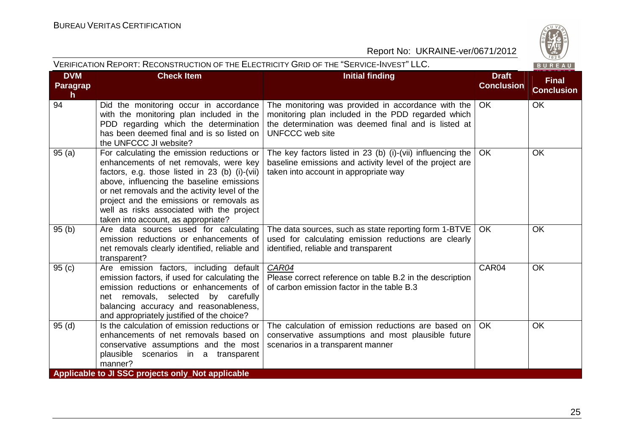|                              | VERIFICATION REPORT: RECONSTRUCTION OF THE ELECTRICITY GRID OF THE "SERVICE-INVEST" LLC.<br>BUREAU                                                                                                                                                                                                                                                                   |                                                                                                                                                                                    |                                   |                                   |  |
|------------------------------|----------------------------------------------------------------------------------------------------------------------------------------------------------------------------------------------------------------------------------------------------------------------------------------------------------------------------------------------------------------------|------------------------------------------------------------------------------------------------------------------------------------------------------------------------------------|-----------------------------------|-----------------------------------|--|
| <b>DVM</b><br>Paragrap<br>h. | <b>Check Item</b>                                                                                                                                                                                                                                                                                                                                                    | <b>Initial finding</b>                                                                                                                                                             | <b>Draft</b><br><b>Conclusion</b> | <b>Final</b><br><b>Conclusion</b> |  |
| 94                           | Did the monitoring occur in accordance<br>with the monitoring plan included in the<br>PDD regarding which the determination<br>has been deemed final and is so listed on<br>the UNFCCC JI website?                                                                                                                                                                   | The monitoring was provided in accordance with the<br>monitoring plan included in the PDD regarded which<br>the determination was deemed final and is listed at<br>UNFCCC web site | OK.                               | <b>OK</b>                         |  |
| 95(a)                        | For calculating the emission reductions or<br>enhancements of net removals, were key<br>factors, e.g. those listed in 23 (b) (i)-(vii)<br>above, influencing the baseline emissions<br>or net removals and the activity level of the<br>project and the emissions or removals as<br>well as risks associated with the project<br>taken into account, as appropriate? | The key factors listed in 23 (b) (i)-(vii) influencing the<br>baseline emissions and activity level of the project are<br>taken into account in appropriate way                    | OK.                               | <b>OK</b>                         |  |
| 95(b)                        | Are data sources used for calculating<br>emission reductions or enhancements of<br>net removals clearly identified, reliable and<br>transparent?                                                                                                                                                                                                                     | The data sources, such as state reporting form 1-BTVE<br>used for calculating emission reductions are clearly<br>identified, reliable and transparent                              | OK.                               | <b>OK</b>                         |  |
| 95(c)                        | Are emission factors, including default<br>emission factors, if used for calculating the<br>emission reductions or enhancements of<br>net removals, selected by carefully<br>balancing accuracy and reasonableness,<br>and appropriately justified of the choice?                                                                                                    | CAR04<br>Please correct reference on table B.2 in the description<br>of carbon emission factor in the table B.3                                                                    | CAR04                             | <b>OK</b>                         |  |
| 95(d)                        | Is the calculation of emission reductions or<br>enhancements of net removals based on<br>conservative assumptions and the most<br>plausible scenarios in a transparent<br>manner?                                                                                                                                                                                    | The calculation of emission reductions are based on<br>conservative assumptions and most plausible future<br>scenarios in a transparent manner                                     | OK.                               | <b>OK</b>                         |  |
|                              | Applicable to JI SSC projects only_Not applicable                                                                                                                                                                                                                                                                                                                    |                                                                                                                                                                                    |                                   |                                   |  |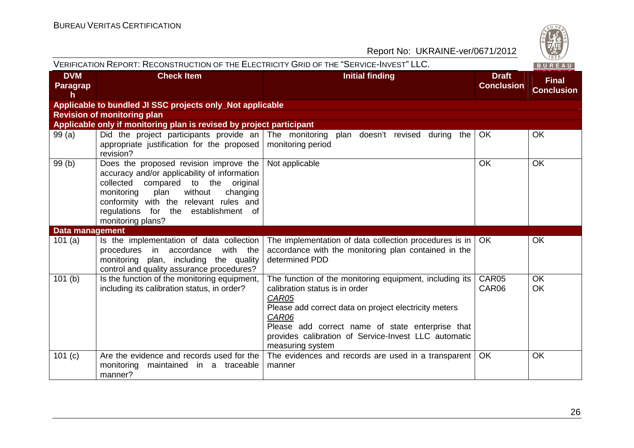| Report No: UKRAINE-ver/0671/2012 |                                                                                                                                                                                                                                                                                        |                                                                                                                                                                                                                                                                                                      |                                   |                                   |
|----------------------------------|----------------------------------------------------------------------------------------------------------------------------------------------------------------------------------------------------------------------------------------------------------------------------------------|------------------------------------------------------------------------------------------------------------------------------------------------------------------------------------------------------------------------------------------------------------------------------------------------------|-----------------------------------|-----------------------------------|
|                                  | VERIFICATION REPORT: RECONSTRUCTION OF THE ELECTRICITY GRID OF THE "SERVICE-INVEST" LLC.                                                                                                                                                                                               |                                                                                                                                                                                                                                                                                                      |                                   | $\frac{720}{1828}$<br>BUREAU      |
| <b>DVM</b><br>Paragrap<br>h.     | <b>Check Item</b>                                                                                                                                                                                                                                                                      | <b>Initial finding</b>                                                                                                                                                                                                                                                                               | <b>Draft</b><br><b>Conclusion</b> | <b>Final</b><br><b>Conclusion</b> |
|                                  | Applicable to bundled JI SSC projects only_Not applicable                                                                                                                                                                                                                              |                                                                                                                                                                                                                                                                                                      |                                   |                                   |
|                                  | <b>Revision of monitoring plan</b>                                                                                                                                                                                                                                                     |                                                                                                                                                                                                                                                                                                      |                                   |                                   |
|                                  | Applicable only if monitoring plan is revised by project participant                                                                                                                                                                                                                   |                                                                                                                                                                                                                                                                                                      |                                   |                                   |
| 99(a)                            | appropriate justification for the proposed<br>revision?                                                                                                                                                                                                                                | Did the project participants provide an The monitoring plan doesn't revised during the<br>monitoring period                                                                                                                                                                                          | OK                                | OK                                |
| 99(b)                            | Does the proposed revision improve the<br>accuracy and/or applicability of information<br>collected<br>compared to the<br>original<br>without<br>monitoring<br>plan<br>changing<br>conformity with the relevant rules and<br>regulations for the establishment of<br>monitoring plans? | Not applicable                                                                                                                                                                                                                                                                                       | OK                                | OK                                |
| <b>Data management</b>           |                                                                                                                                                                                                                                                                                        |                                                                                                                                                                                                                                                                                                      |                                   |                                   |
| 101 $(a)$                        | Is the implementation of data collection<br>with the<br>procedures in accordance<br>monitoring plan, including the quality<br>control and quality assurance procedures?                                                                                                                | The implementation of data collection procedures is in<br>accordance with the monitoring plan contained in the<br>determined PDD                                                                                                                                                                     | OK.                               | OK                                |
| 101(b)                           | Is the function of the monitoring equipment,<br>including its calibration status, in order?                                                                                                                                                                                            | The function of the monitoring equipment, including its<br>calibration status is in order<br>CAR05<br>Please add correct data on project electricity meters<br>CAR06<br>Please add correct name of state enterprise that<br>provides calibration of Service-Invest LLC automatic<br>measuring system | CAR05<br>CAR06                    | <b>OK</b><br>OK                   |
| 101(c)                           | Are the evidence and records used for the<br>monitoring<br>maintained in a traceable<br>manner?                                                                                                                                                                                        | The evidences and records are used in a transparent<br>manner                                                                                                                                                                                                                                        | OK                                | OK                                |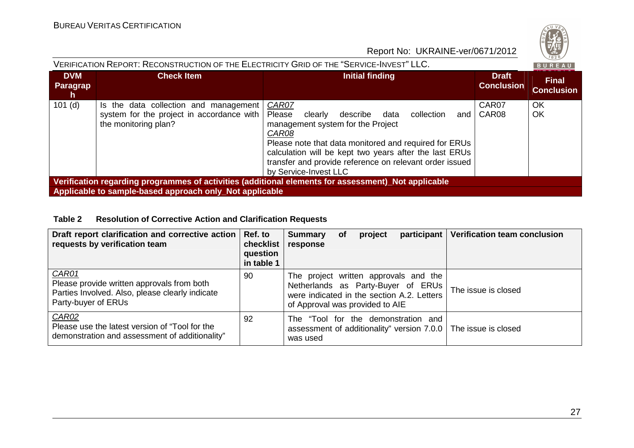

| VERIFICATION REPORT: RECONSTRUCTION OF THE ELECTRICITY GRID OF THE "SERVICE-INVEST" LLC. |                                                                                                            |                                                                                                                                                                                                                                                                                                                          |                            |                                   |
|------------------------------------------------------------------------------------------|------------------------------------------------------------------------------------------------------------|--------------------------------------------------------------------------------------------------------------------------------------------------------------------------------------------------------------------------------------------------------------------------------------------------------------------------|----------------------------|-----------------------------------|
| <b>DVM</b><br>Paragrap<br>h.                                                             | <b>Check Item</b>                                                                                          | <b>Initial finding</b>                                                                                                                                                                                                                                                                                                   | Draft<br><b>Conclusion</b> | <b>Final</b><br><b>Conclusion</b> |
| $101$ (d)                                                                                | Is the data collection and management<br>system for the project in accordance with<br>the monitoring plan? | CAR07<br>Please<br>collection<br>clearly<br>describe<br>data<br>and<br>management system for the Project<br>CAR08<br>Please note that data monitored and required for ERUs<br>calculation will be kept two years after the last ERUs<br>transfer and provide reference on relevant order issued<br>by Service-Invest LLC | CAR07<br>CAR08             | OK<br>OK                          |
|                                                                                          |                                                                                                            | Verification regarding programmes of activities (additional elements for assessment) Not applicable                                                                                                                                                                                                                      |                            |                                   |
|                                                                                          | Applicable to sample-based approach only_Not applicable                                                    |                                                                                                                                                                                                                                                                                                                          |                            |                                   |

#### **Table 2 Resolution of Corrective Action and Clarification Requests**

| Draft report clarification and corrective action<br>requests by verification team                                             | Ref. to<br>checklist<br>question<br>in table 1 | <b>Summary</b><br>response      | <b>of</b> | project | participant                                                                                                               | Verification team conclusion                                   |
|-------------------------------------------------------------------------------------------------------------------------------|------------------------------------------------|---------------------------------|-----------|---------|---------------------------------------------------------------------------------------------------------------------------|----------------------------------------------------------------|
| CAR01<br>Please provide written approvals from both<br>Parties Involved. Also, please clearly indicate<br>Party-buyer of ERUs | 90                                             | of Approval was provided to AIE |           |         | The project written approvals and the<br>Netherlands as Party-Buyer of ERUs<br>were indicated in the section A.2. Letters | The issue is closed                                            |
| <b>CAR02</b><br>Please use the latest version of "Tool for the<br>demonstration and assessment of additionality"              | 92                                             | was used                        |           |         | The "Tool for the demonstration and                                                                                       | assessment of additionality" version 7.0.0 The issue is closed |